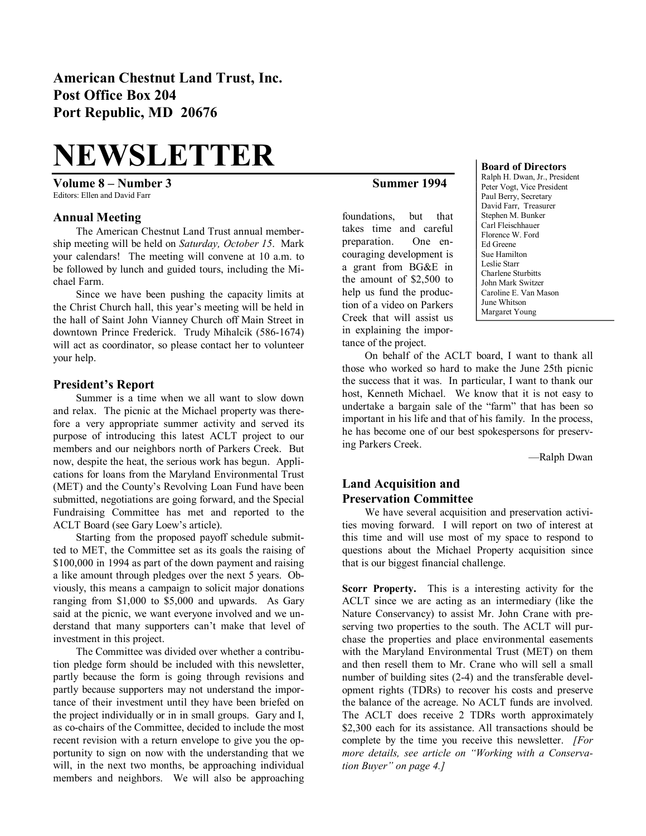# **NEWSLETTER**

**Volume 8 – Number 3 Summer 1994** Editors: Ellen and David Farr

### **Annual Meeting**

The American Chestnut Land Trust annual member ship meeting will be held on *Saturday, October 15*. Mark your calendars! The meeting will convene at 10 a.m. to be followed by lunch and guided tours, including the Mi chael Farm.

Since we have been pushing the capacity limits at the Christ Church hall, this year's meeting will be held in the hall of Saint John Vianney Church off Main Street in downtown Prince Frederick. Trudy Mihalcik (586-1674) will act as coordinator, so please contact her to volunteer your help.

#### **President's Report**

Summer is a time when we all want to slow down and relax. The picnic at the Michael property was there fore a very appropriate summer activity and served its purpose of introducing this latest ACLT project to our members and our neighbors north of Parkers Creek. But now, despite the heat, the serious work has begun. Appli cations for loans from the Maryland Environmental Trust (MET) and the County's Revolving Loan Fund have been submitted, negotiations are going forward, and the Special Fundraising Committee has met and reported to the ACLT Board (see Gary Loew's article).

Starting from the proposed payoff schedule submit ted to MET, the Committee set as its goals the raising of \$100,000 in 1994 as part of the down payment and raising a like amount through pledges over the next 5 years. Ob viously, this means a campaign to solicit major donations ranging from \$1,000 to \$5,000 and upwards. As Gary said at the picnic, we want everyone involved and we un derstand that many supporters can't make that level of investment in this project.

The Committee was divided over whether a contribu tion pledge form should be included with this newsletter, partly because the form is going through revisions and partly because supporters may not understand the impor tance of their investment until they have been briefed on the project individually or in in small groups. Gary and I, as cochairs of the Committee, decided to include the most recent revision with a return envelope to give you the op portunity to sign on now with the understanding that we will, in the next two months, be approaching individual members and neighbors. We will also be approaching

foundations, but that takes time and careful preparation. One en couraging development is a grant from BG&E in the amount of \$2,500 to help us fund the production of a video on Parkers Creek that will assist us in explaining the impor tance of the project.

#### **Board of Directors**

Ralph H. Dwan, Jr., President Peter Vogt, Vice President Paul Berry, Secretary David Farr, Treasurer Stephen M. Bunker Carl Fleischhauer Florence W. Ford Ed Greene Sue Hamilton Leslie Starr Charlene Sturbitts John Mark Switzer Caroline E. Van Mason June Whitson Margaret Young

On behalf of the ACLT board, I want to thank all those who worked so hard to make the June 25th picnic the success that it was. In particular, I want to thank our host, Kenneth Michael. We know that it is not easy to undertake a bargain sale of the "farm" that has been so important in his life and that of his family. In the process, he has become one of our best spokespersons for preserv ing Parkers Creek.

—Ralph Dwan

# **Land Acquisition and Preservation Committee**

We have several acquisition and preservation activi ties moving forward. I will report on two of interest at this time and will use most of my space to respond to questions about the Michael Property acquisition since that is our biggest financial challenge.

**Scorr Property.** This is a interesting activity for the ACLT since we are acting as an intermediary (like the Nature Conservancy) to assist Mr. John Crane with pre serving two properties to the south. The ACLT will pur chase the properties and place environmental easements with the Maryland Environmental Trust (MET) on them and then resell them to Mr. Crane who will sell a small number of building sites  $(2-4)$  and the transferable development rights (TDRs) to recover his costs and preserve the balance of the acreage. No ACLT funds are involved. The ACLT does receive 2 TDRs worth approximately \$2,300 each for its assistance. All transactions should be complete by the time you receive this newsletter. *[For more details, see article on "Working with a Conserva tion Buyer" on page 4.]*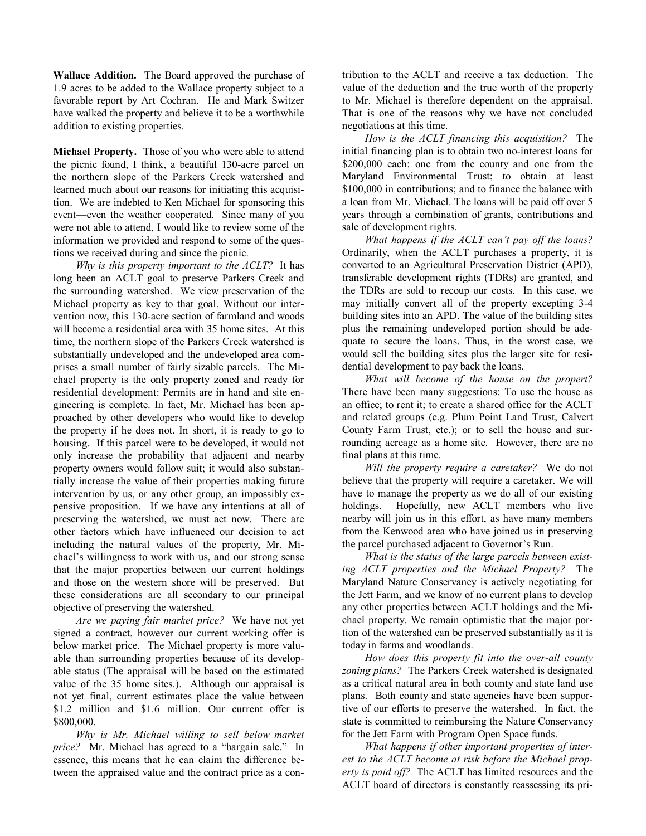**Wallace Addition.** The Board approved the purchase of 1.9 acres to be added to the Wallace property subject to a favorable report by Art Cochran. He and Mark Switzer have walked the property and believe it to be a worthwhile addition to existing properties.

**Michael Property.** Those of you who were able to attend the picnic found, I think, a beautiful 130-acre parcel on the northern slope of the Parkers Creek watershed and learned much about our reasons for initiating this acquisi tion. We are indebted to Ken Michael for sponsoring this event—even the weather cooperated. Since many of you were not able to attend, I would like to review some of the information we provided and respond to some of the ques tions we received during and since the picnic.

*Why is this property important to the ACLT?* It has long been an ACLT goal to preserve Parkers Creek and the surrounding watershed. We view preservation of the Michael property as key to that goal. Without our inter vention now, this 130-acre section of farmland and woods will become a residential area with 35 home sites. At this time, the northern slope of the Parkers Creek watershed is substantially undeveloped and the undeveloped area com prises a small number of fairly sizable parcels. The Mi chael property is the only property zoned and ready for residential development: Permits are in hand and site en gineering is complete. In fact, Mr. Michael has been ap proached by other developers who would like to develop the property if he does not. In short, it is ready to go to housing. If this parcel were to be developed, it would not only increase the probability that adjacent and nearby property owners would follow suit; it would also substan tially increase the value of their properties making future intervention by us, or any other group, an impossibly ex pensive proposition. If we have any intentions at all of preserving the watershed, we must act now. There are other factors which have influenced our decision to act including the natural values of the property, Mr. Mi chael's willingness to work with us, and our strong sense that the major properties between our current holdings and those on the western shore will be preserved. But these considerations are all secondary to our principal objective of preserving the watershed.

*Are we paying fair market price?* We have not yet signed a contract, however our current working offer is below market price. The Michael property is more valu able than surrounding properties because of its develop able status (The appraisal will be based on the estimated value of the 35 home sites.). Although our appraisal is not yet final, current estimates place the value between \$1.2 million and \$1.6 million. Our current offer is \$800,000.

*Why is Mr. Michael willing to sell below market price?* Mr. Michael has agreed to a "bargain sale." In essence, this means that he can claim the difference be tween the appraised value and the contract price as a con tribution to the ACLT and receive a tax deduction. The value of the deduction and the true worth of the property to Mr. Michael is therefore dependent on the appraisal. That is one of the reasons why we have not concluded negotiations at this time.

*How is the ACLT financing this acquisition?* The initial financing plan is to obtain two no-interest loans for \$200,000 each: one from the county and one from the Maryland Environmental Trust; to obtain at least \$100,000 in contributions; and to finance the balance with a loan from Mr. Michael. The loans will be paid off over 5 years through a combination of grants, contributions and sale of development rights.

*What happens if the ACLT can't pay off the loans?* Ordinarily, when the ACLT purchases a property, it is converted to an Agricultural Preservation District (APD), transferable development rights (TDRs) are granted, and the TDRs are sold to recoup our costs. In this case, we may initially convert all of the property excepting 3-4 building sites into an APD. The value of the building sites plus the remaining undeveloped portion should be ade quate to secure the loans. Thus, in the worst case, we would sell the building sites plus the larger site for resi dential development to pay back the loans.

*What will become of the house on the propert?* There have been many suggestions: To use the house as an office; to rent it; to create a shared office for the ACLT and related groups (e.g. Plum Point Land Trust, Calvert County Farm Trust, etc.); or to sell the house and sur rounding acreage as a home site. However, there are no final plans at this time.

*Will the property require a caretaker?* We do not believe that the property will require a caretaker. We will have to manage the property as we do all of our existing holdings. Hopefully, new ACLT members who live nearby will join us in this effort, as have many members from the Kenwood area who have joined us in preserving the parcel purchased adjacent to Governor's Run.

*What is the status of the large parcels between exist ing ACLT properties and the Michael Property?* The Maryland Nature Conservancy is actively negotiating for the Jett Farm, and we know of no current plans to develop any other properties between ACLT holdings and the Mi chael property. We remain optimistic that the major por tion of the watershed can be preserved substantially as it is today in farms and woodlands.

*How does this property fit into the overall county zoning plans?* The Parkers Creek watershed is designated as a critical natural area in both county and state land use plans. Both county and state agencies have been suppor tive of our efforts to preserve the watershed. In fact, the state is committed to reimbursing the Nature Conservancy for the Jett Farm with Program Open Space funds.

*What happens if other important properties of inter est to the ACLT become at risk before the Michael prop erty is paid off?* The ACLT has limited resources and the ACLT board of directors is constantly reassessing its pri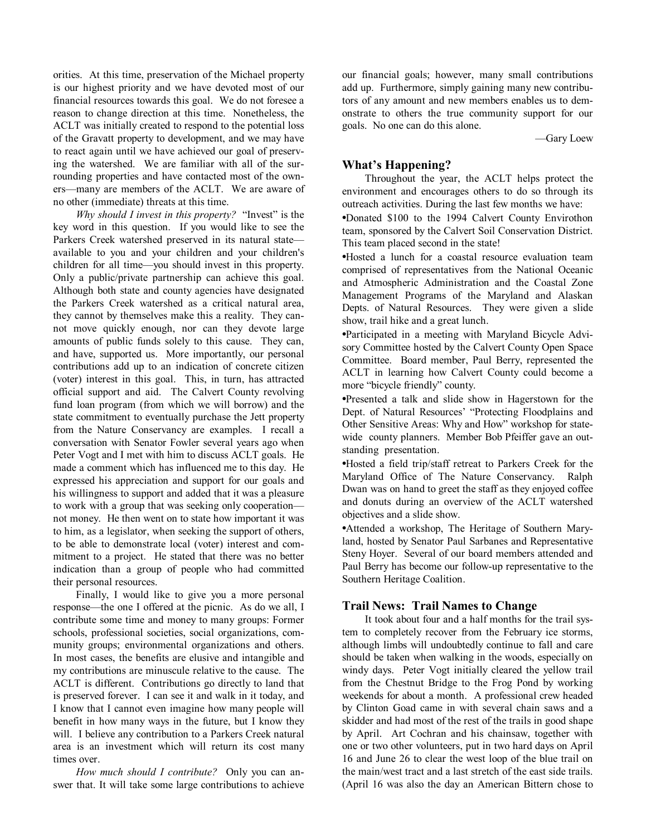orities. At this time, preservation of the Michael property is our highest priority and we have devoted most of our financial resources towards this goal. We do not foresee a reason to change direction at this time. Nonetheless, the ACLT was initially created to respond to the potential loss of the Gravatt property to development, and we may have to react again until we have achieved our goal of preserv ing the watershed. We are familiar with all of the sur rounding properties and have contacted most of the own ers—many are members of the ACLT. We are aware of no other (immediate) threats at this time.

*Why should I invest in this property?* "Invest" is the key word in this question. If you would like to see the Parkers Creek watershed preserved in its natural state available to you and your children and your children's children for all time—you should invest in this property. Only a public/private partnership can achieve this goal. Although both state and county agencies have designated the Parkers Creek watershed as a critical natural area, they cannot by themselves make this a reality. They can not move quickly enough, nor can they devote large amounts of public funds solely to this cause. They can, and have, supported us. More importantly, our personal contributions add up to an indication of concrete citizen (voter) interest in this goal. This, in turn, has attracted official support and aid. The Calvert County revolving fund loan program (from which we will borrow) and the state commitment to eventually purchase the Jett property from the Nature Conservancy are examples. I recall a conversation with Senator Fowler several years ago when Peter Vogt and I met with him to discuss ACLT goals. He made a comment which has influenced me to this day. He expressed his appreciation and support for our goals and his willingness to support and added that it was a pleasure to work with a group that was seeking only cooperation not money. He then went on to state how important it was to him, as a legislator, when seeking the support of others, to be able to demonstrate local (voter) interest and com mitment to a project. He stated that there was no better indication than a group of people who had committed their personal resources.

Finally, I would like to give you a more personal response—the one I offered at the picnic. As do we all, I contribute some time and money to many groups: Former schools, professional societies, social organizations, com munity groups; environmental organizations and others. In most cases, the benefits are elusive and intangible and my contributions are minuscule relative to the cause. The ACLT is different. Contributions go directly to land that is preserved forever. I can see it and walk in it today, and I know that I cannot even imagine how many people will benefit in how many ways in the future, but I know they will. I believe any contribution to a Parkers Creek natural area is an investment which will return its cost many times over.

*How much should I contribute?* Only you can an swer that. It will take some large contributions to achieve our financial goals; however, many small contributions add up. Furthermore, simply gaining many new contribu tors of any amount and new members enables us to dem onstrate to others the true community support for our goals. No one can do this alone.

—Gary Loew

# **What's Happening?**

Throughout the year, the ACLT helps protect the environment and encourages others to do so through its outreach activities. During the last few months we have:

**•**Donated \$100 to the 1994 Calvert County Envirothon team, sponsored by the Calvert Soil Conservation District. This team placed second in the state!

**•**Hosted a lunch for a coastal resource evaluation team comprised of representatives from the National Oceanic and Atmospheric Administration and the Coastal Zone Management Programs of the Maryland and Alaskan Depts. of Natural Resources. They were given a slide show, trail hike and a great lunch.

**•**Participated in a meeting with Maryland Bicycle Advi sory Committee hosted by the Calvert County Open Space Committee. Board member, Paul Berry, represented the ACLT in learning how Calvert County could become a more "bicycle friendly" county.

**•**Presented a talk and slide show in Hagerstown for the Dept. of Natural Resources' "Protecting Floodplains and Other Sensitive Areas: Why and How" workshop for state wide county planners. Member Bob Pfeiffer gave an out standing presentation.

**•**Hosted a field trip/staff retreat to Parkers Creek for the Maryland Office of The Nature Conservancy. Ralph Dwan was on hand to greet the staff as they enjoyed coffee and donuts during an overview of the ACLT watershed objectives and a slide show.

**•**Attended a workshop, The Heritage of Southern Mary land, hosted by Senator Paul Sarbanes and Representative Steny Hoyer. Several of our board members attended and Paul Berry has become our follow-up representative to the Southern Heritage Coalition.

#### **Trail News: Trail Names to Change**

It took about four and a half months for the trail sys tem to completely recover from the February ice storms, although limbs will undoubtedly continue to fall and care should be taken when walking in the woods, especially on windy days. Peter Vogt initially cleared the yellow trail from the Chestnut Bridge to the Frog Pond by working weekends for about a month. A professional crew headed by Clinton Goad came in with several chain saws and a skidder and had most of the rest of the trails in good shape by April. Art Cochran and his chainsaw, together with one or two other volunteers, put in two hard days on April 16 and June 26 to clear the west loop of the blue trail on the main/west tract and a last stretch of the east side trails. (April 16 was also the day an American Bittern chose to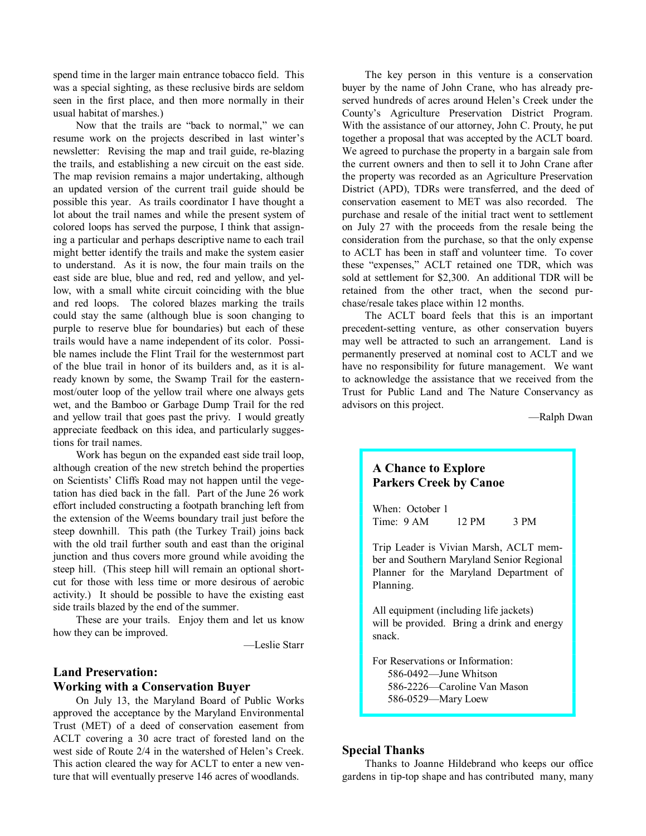spend time in the larger main entrance tobacco field. This was a special sighting, as these reclusive birds are seldom seen in the first place, and then more normally in their usual habitat of marshes.)

Now that the trails are "back to normal," we can resume work on the projects described in last winter's newsletter: Revising the map and trail guide, re-blazing the trails, and establishing a new circuit on the east side. The map revision remains a major undertaking, although an updated version of the current trail guide should be possible this year. As trails coordinator I have thought a lot about the trail names and while the present system of colored loops has served the purpose, I think that assign ing a particular and perhaps descriptive name to each trail might better identify the trails and make the system easier to understand. As it is now, the four main trails on the east side are blue, blue and red, red and yellow, and yel low, with a small white circuit coinciding with the blue and red loops. The colored blazes marking the trails could stay the same (although blue is soon changing to purple to reserve blue for boundaries) but each of these trails would have a name independent of its color. Possi ble names include the Flint Trail for the westernmost part of the blue trail in honor of its builders and, as it is al ready known by some, the Swamp Trail for the eastern most/outer loop of the yellow trail where one always gets wet, and the Bamboo or Garbage Dump Trail for the red and yellow trail that goes past the privy. I would greatly appreciate feedback on this idea, and particularly sugges tions for trail names.

Work has begun on the expanded east side trail loop, although creation of the new stretch behind the properties on Scientists' Cliffs Road may not happen until the vege tation has died back in the fall. Part of the June 26 work effort included constructing a footpath branching left from the extension of the Weems boundary trail just before the steep downhill. This path (the Turkey Trail) joins back with the old trail further south and east than the original junction and thus covers more ground while avoiding the steep hill. (This steep hill will remain an optional short cut for those with less time or more desirous of aerobic activity.) It should be possible to have the existing east side trails blazed by the end of the summer.

These are your trails. Enjoy them and let us know how they can be improved.

—Leslie Starr

# **Land Preservation: Working with a Conservation Buyer**

On July 13, the Maryland Board of Public Works approved the acceptance by the Maryland Environmental Trust (MET) of a deed of conservation easement from ACLT covering a 30 acre tract of forested land on the west side of Route 2/4 in the watershed of Helen's Creek. This action cleared the way for ACLT to enter a new ven ture that will eventually preserve 146 acres of woodlands.

The key person in this venture is a conservation buyer by the name of John Crane, who has already pre served hundreds of acres around Helen's Creek under the County's Agriculture Preservation District Program. With the assistance of our attorney, John C. Prouty, he put together a proposal that was accepted by the ACLT board. We agreed to purchase the property in a bargain sale from the current owners and then to sell it to John Crane after the property was recorded as an Agriculture Preservation District (APD), TDRs were transferred, and the deed of conservation easement to MET was also recorded. The purchase and resale of the initial tract went to settlement on July 27 with the proceeds from the resale being the consideration from the purchase, so that the only expense to ACLT has been in staff and volunteer time. To cover these "expenses," ACLT retained one TDR, which was sold at settlement for \$2,300. An additional TDR will be retained from the other tract, when the second pur chase/resale takes place within 12 months.

The ACLT board feels that this is an important precedent-setting venture, as other conservation buyers may well be attracted to such an arrangement. Land is permanently preserved at nominal cost to ACLT and we have no responsibility for future management. We want to acknowledge the assistance that we received from the Trust for Public Land and The Nature Conservancy as advisors on this project.

—Ralph Dwan

# **A Chance to Explore Parkers Creek by Canoe**

When: October 1 Time: 9 AM 12 PM 3 PM

Trip Leader is Vivian Marsh, ACLT mem ber and Southern Maryland Senior Regional Planner for the Maryland Department of Planning.

All equipment (including life jackets) will be provided. Bring a drink and energy snack.

For Reservations or Information: 586-0492—June Whitson 5862226—Caroline Van Mason 586-0529-Mary Loew

#### **Special Thanks**

Thanks to Joanne Hildebrand who keeps our office gardens in tip-top shape and has contributed many, many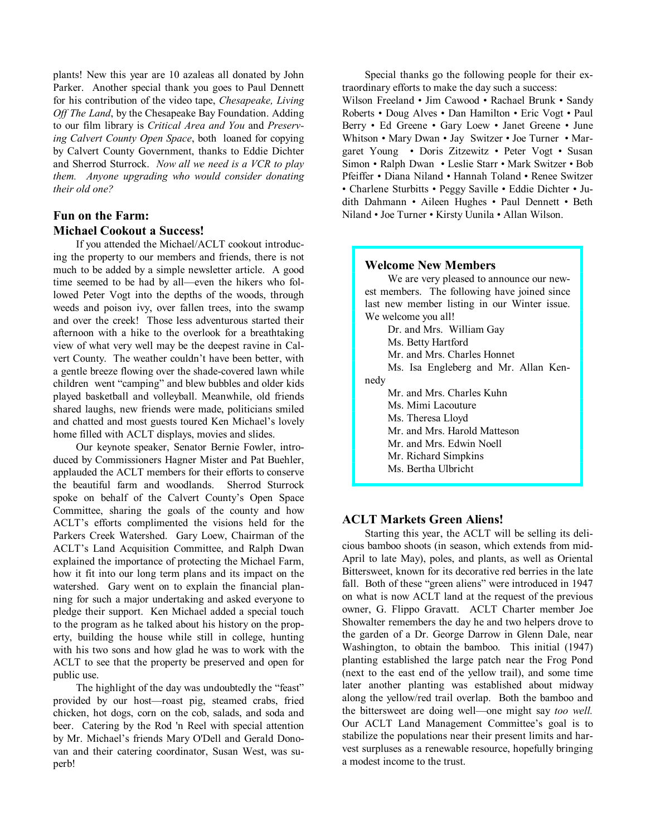plants! New this year are 10 azaleas all donated by John Parker. Another special thank you goes to Paul Dennett for his contribution of the video tape, *Chesapeake, Living Off The Land*, by the Chesapeake Bay Foundation. Adding to our film library is *Critical Area and You* and *Preserv ing Calvert County Open Space*, both loaned for copying by Calvert County Government, thanks to Eddie Dichter and Sherrod Sturrock. *Now all we need is a VCR to play them. Anyone upgrading who would consider donating their old one?*

# **Fun on the Farm: Michael Cookout a Success!**

If you attended the Michael/ACLT cookout introduc ing the property to our members and friends, there is not much to be added by a simple newsletter article. A good time seemed to be had by all—even the hikers who followed Peter Vogt into the depths of the woods, through weeds and poison ivy, over fallen trees, into the swamp and over the creek! Those less adventurous started their afternoon with a hike to the overlook for a breathtaking view of what very well may be the deepest ravine in Cal vert County. The weather couldn't have been better, with a gentle breeze flowing over the shade-covered lawn while children went "camping" and blew bubbles and older kids played basketball and volleyball. Meanwhile, old friends shared laughs, new friends were made, politicians smiled and chatted and most guests toured Ken Michael's lovely home filled with ACLT displays, movies and slides.

Our keynote speaker, Senator Bernie Fowler, intro duced by Commissioners Hagner Mister and Pat Buehler, applauded the ACLT members for their efforts to conserve the beautiful farm and woodlands. Sherrod Sturrock spoke on behalf of the Calvert County's Open Space Committee, sharing the goals of the county and how ACLT's efforts complimented the visions held for the Parkers Creek Watershed. Gary Loew, Chairman of the ACLT's Land Acquisition Committee, and Ralph Dwan explained the importance of protecting the Michael Farm, how it fit into our long term plans and its impact on the watershed. Gary went on to explain the financial plan ning for such a major undertaking and asked everyone to pledge their support. Ken Michael added a special touch to the program as he talked about his history on the prop erty, building the house while still in college, hunting with his two sons and how glad he was to work with the ACLT to see that the property be preserved and open for public use.

The highlight of the day was undoubtedly the "feast" provided by our host—roast pig, steamed crabs, fried chicken, hot dogs, corn on the cob, salads, and soda and beer. Catering by the Rod 'n Reel with special attention by Mr. Michael's friends Mary O'Dell and Gerald Dono van and their catering coordinator, Susan West, was su perb!

Special thanks go the following people for their ex traordinary efforts to make the day such a success: Wilson Freeland • Jim Cawood • Rachael Brunk • Sandy Roberts • Doug Alves • Dan Hamilton • Eric Vogt • Paul Berry • Ed Greene • Gary Loew • Janet Greene • June Whitson • Mary Dwan • Jay Switzer • Joe Turner • Mar garet Young • Doris Zitzewitz • Peter Vogt • Susan Simon • Ralph Dwan • Leslie Starr • Mark Switzer • Bob Pfeiffer • Diana Niland • Hannah Toland • Renee Switzer • Charlene Sturbitts • Peggy Saville • Eddie Dichter • Judith Dahmann • Aileen Hughes • Paul Dennett • Beth Niland • Joe Turner • Kirsty Uunila • Allan Wilson.

#### **Welcome New Members**

We are very pleased to announce our new est members. The following have joined since last new member listing in our Winter issue. We welcome you all! Dr. and Mrs. William Gay Ms. Betty Hartford

Mr. and Mrs. Charles Honnet

Ms. Isa Engleberg and Mr. Allan Ken nedy

Mr. and Mrs. Charles Kuhn

Ms. Mimi Lacouture

Ms. Theresa Lloyd

Mr. and Mrs. Harold Matteson

Mr. and Mrs. Edwin Noell

Mr. Richard Simpkins

Ms. Bertha Ulbricht

# **ACLT Markets Green Aliens!**

Starting this year, the ACLT will be selling its deli cious bamboo shoots (in season, which extends from mid April to late May), poles, and plants, as well as Oriental Bittersweet, known for its decorative red berries in the late fall. Both of these "green aliens" were introduced in 1947 on what is now ACLT land at the request of the previous owner, G. Flippo Gravatt. ACLT Charter member Joe Showalter remembers the day he and two helpers drove to the garden of a Dr. George Darrow in Glenn Dale, near Washington, to obtain the bamboo. This initial (1947) planting established the large patch near the Frog Pond (next to the east end of the yellow trail), and some time later another planting was established about midway along the yellow/red trail overlap. Both the bamboo and the bittersweet are doing well—one might say *too well.* Our ACLT Land Management Committee's goal is to stabilize the populations near their present limits and har vest surpluses as a renewable resource, hopefully bringing a modest income to the trust.